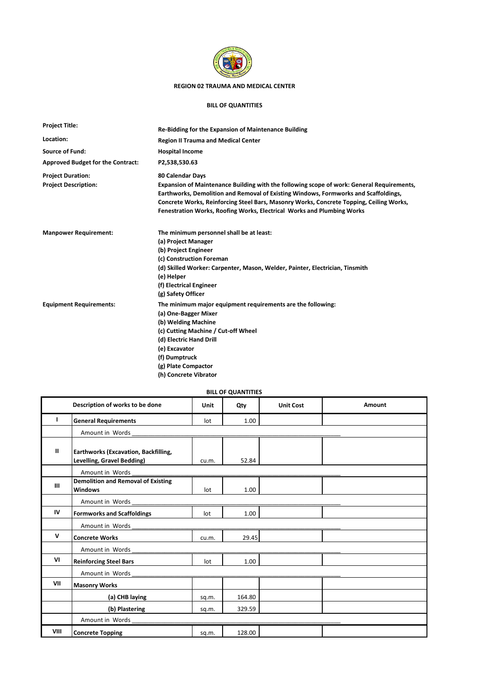

## **REGION 02 TRAUMA AND MEDICAL CENTER**

## **BILL OF QUANTITIES**

| <b>Project Title:</b>                    | Re-Bidding for the Expansion of Maintenance Building                                                                                                                                                                                                                                                                                                  |  |  |  |  |  |
|------------------------------------------|-------------------------------------------------------------------------------------------------------------------------------------------------------------------------------------------------------------------------------------------------------------------------------------------------------------------------------------------------------|--|--|--|--|--|
| Location:                                | <b>Region II Trauma and Medical Center</b>                                                                                                                                                                                                                                                                                                            |  |  |  |  |  |
| <b>Source of Fund:</b>                   | <b>Hospital Income</b>                                                                                                                                                                                                                                                                                                                                |  |  |  |  |  |
| <b>Approved Budget for the Contract:</b> | P2,538,530.63                                                                                                                                                                                                                                                                                                                                         |  |  |  |  |  |
| <b>Project Duration:</b>                 | 80 Calendar Days                                                                                                                                                                                                                                                                                                                                      |  |  |  |  |  |
| <b>Project Description:</b>              | Expansion of Maintenance Building with the following scope of work: General Requirements,<br>Earthworks, Demolition and Removal of Existing Windows, Formworks and Scaffoldings,<br>Concrete Works, Reinforcing Steel Bars, Masonry Works, Concrete Topping, Ceiling Works,<br>Fenestration Works, Roofing Works, Electrical Works and Plumbing Works |  |  |  |  |  |
| <b>Manpower Requirement:</b>             | The minimum personnel shall be at least:                                                                                                                                                                                                                                                                                                              |  |  |  |  |  |
|                                          | (a) Project Manager                                                                                                                                                                                                                                                                                                                                   |  |  |  |  |  |
|                                          | (b) Project Engineer                                                                                                                                                                                                                                                                                                                                  |  |  |  |  |  |
|                                          | (c) Construction Foreman                                                                                                                                                                                                                                                                                                                              |  |  |  |  |  |
|                                          | (d) Skilled Worker: Carpenter, Mason, Welder, Painter, Electrician, Tinsmith<br>(e) Helper                                                                                                                                                                                                                                                            |  |  |  |  |  |
|                                          | (f) Electrical Engineer                                                                                                                                                                                                                                                                                                                               |  |  |  |  |  |
|                                          | (g) Safety Officer                                                                                                                                                                                                                                                                                                                                    |  |  |  |  |  |
| <b>Equipment Requirements:</b>           | The minimum major equipment requirements are the following:<br>(a) One-Bagger Mixer                                                                                                                                                                                                                                                                   |  |  |  |  |  |
|                                          | (b) Welding Machine                                                                                                                                                                                                                                                                                                                                   |  |  |  |  |  |
|                                          | (c) Cutting Machine / Cut-off Wheel                                                                                                                                                                                                                                                                                                                   |  |  |  |  |  |
|                                          | (d) Electric Hand Drill                                                                                                                                                                                                                                                                                                                               |  |  |  |  |  |
|                                          | (e) Excavator                                                                                                                                                                                                                                                                                                                                         |  |  |  |  |  |
|                                          | (f) Dumptruck                                                                                                                                                                                                                                                                                                                                         |  |  |  |  |  |
|                                          | (g) Plate Compactor                                                                                                                                                                                                                                                                                                                                   |  |  |  |  |  |
|                                          | (h) Concrete Vibrator                                                                                                                                                                                                                                                                                                                                 |  |  |  |  |  |

## **BILL OF QUANTITIES**

|              | Description of works to be done                                    | Unit  | Qty    | <b>Unit Cost</b> | Amount |  |  |  |
|--------------|--------------------------------------------------------------------|-------|--------|------------------|--------|--|--|--|
| Τ.           | <b>General Requirements</b>                                        | lot   | 1.00   |                  |        |  |  |  |
|              | Amount in Words                                                    |       |        |                  |        |  |  |  |
| Ш            | Earthworks (Excavation, Backfilling,<br>Levelling, Gravel Bedding) | cu.m. | 52.84  |                  |        |  |  |  |
|              | Amount in Words                                                    |       |        |                  |        |  |  |  |
| III          | <b>Demolition and Removal of Existing</b><br><b>Windows</b>        | lot   | 1.00   |                  |        |  |  |  |
|              | Amount in Words                                                    |       |        |                  |        |  |  |  |
| IV           | <b>Formworks and Scaffoldings</b>                                  | lot   | 1.00   |                  |        |  |  |  |
|              | Amount in Words                                                    |       |        |                  |        |  |  |  |
| $\mathsf{v}$ | <b>Concrete Works</b>                                              | cu.m. | 29.45  |                  |        |  |  |  |
|              | Amount in Words                                                    |       |        |                  |        |  |  |  |
| VI           | <b>Reinforcing Steel Bars</b>                                      | lot   | 1.00   |                  |        |  |  |  |
|              | Amount in Words                                                    |       |        |                  |        |  |  |  |
| VII          | <b>Masonry Works</b>                                               |       |        |                  |        |  |  |  |
|              | (a) CHB laying                                                     | sq.m. | 164.80 |                  |        |  |  |  |
|              | (b) Plastering                                                     | sq.m. | 329.59 |                  |        |  |  |  |
|              | Amount in Words                                                    |       |        |                  |        |  |  |  |
| VIII         | <b>Concrete Topping</b>                                            | sq.m. | 128.00 |                  |        |  |  |  |